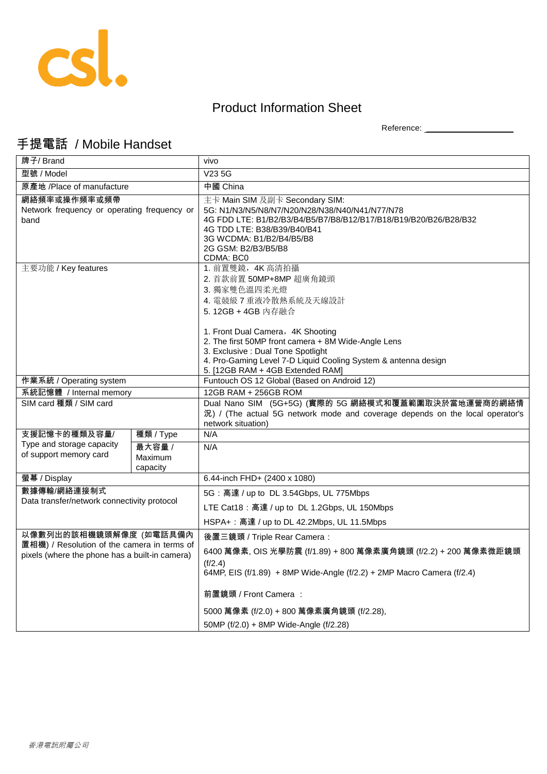

## Product Information Sheet

Reference: \_\_\_\_\_\_\_\_\_\_\_\_\_\_\_\_\_\_\_\_

## 手提電話 / Mobile Handset

| 牌子/ Brand                                                                                                               |                               | vivo                                                                                                                                                                                                                                                                                                                                             |
|-------------------------------------------------------------------------------------------------------------------------|-------------------------------|--------------------------------------------------------------------------------------------------------------------------------------------------------------------------------------------------------------------------------------------------------------------------------------------------------------------------------------------------|
| 型號 / Model                                                                                                              |                               | V <sub>235G</sub>                                                                                                                                                                                                                                                                                                                                |
| 原產地 /Place of manufacture                                                                                               |                               | 中國 China                                                                                                                                                                                                                                                                                                                                         |
| 網絡頻率或操作頻率或頻帶<br>Network frequency or operating frequency or<br>band                                                     |                               | 主卡 Main SIM 及副卡 Secondary SIM:<br>5G: N1/N3/N5/N8/N7/N20/N28/N38/N40/N41/N77/N78<br>4G FDD LTE: B1/B2/B3/B4/B5/B7/B8/B12/B17/B18/B19/B20/B26/B28/B32<br>4G TDD LTE: B38/B39/B40/B41<br>3G WCDMA: B1/B2/B4/B5/B8<br>2G GSM: B2/B3/B5/B8<br>CDMA: BC0                                                                                              |
| 主要功能 / Key features                                                                                                     |                               | 1. 前置雙鏡, 4K 高清拍攝<br>2. 首款前置 50MP+8MP 超廣角鏡頭<br>3. 獨家雙色溫四柔光燈<br>4. 電競級 7 重液冷散熱系統及天線設計<br>5.12GB + 4GB 内存融合<br>1. Front Dual Camera, 4K Shooting<br>2. The first 50MP front camera + 8M Wide-Angle Lens<br>3. Exclusive : Dual Tone Spotlight<br>4. Pro-Gaming Level 7-D Liquid Cooling System & antenna design<br>5. [12GB RAM + 4GB Extended RAM] |
| 作業系統 / Operating system                                                                                                 |                               | Funtouch OS 12 Global (Based on Android 12)                                                                                                                                                                                                                                                                                                      |
| 系統記憶體 / Internal memory                                                                                                 |                               | 12GB RAM + 256GB ROM                                                                                                                                                                                                                                                                                                                             |
| SIM card 種類 / SIM card                                                                                                  |                               | Dual Nano SIM (5G+5G) (實際的 5G 網絡模式和覆蓋範圍取決於當地運營商的網絡情<br>況) / (The actual 5G network mode and coverage depends on the local operator's<br>network situation)                                                                                                                                                                                       |
| 支援記憶卡的種類及容量/                                                                                                            | 種類 / Type                     | N/A                                                                                                                                                                                                                                                                                                                                              |
| Type and storage capacity<br>of support memory card                                                                     | 最大容量 /<br>Maximum<br>capacity | N/A                                                                                                                                                                                                                                                                                                                                              |
| 螢幕 / Display                                                                                                            |                               | 6.44-inch FHD+ (2400 x 1080)                                                                                                                                                                                                                                                                                                                     |
| 數據傳輸/網絡連接制式<br>Data transfer/network connectivity protocol                                                              |                               | 5G: 高達 / up to DL 3.54Gbps, UL 775Mbps<br>LTE Cat18: 高達 / up to DL 1.2Gbps, UL 150Mbps<br>HSPA+: 高達 / up to DL 42.2Mbps, UL 11.5Mbps                                                                                                                                                                                                             |
| 以像數列出的該相機鏡頭解像度 (如電話具備內<br>置相機) / Resolution of the camera in terms of<br>pixels (where the phone has a built-in camera) |                               | 後置三鏡頭 / Triple Rear Camera:<br>6400 萬像素, OIS 光學防震 (f/1.89) + 800 萬像素廣角鏡頭 (f/2.2) + 200 萬像素微距鏡頭<br>(f/2.4)<br>64MP, EIS (f/1.89) + 8MP Wide-Angle (f/2.2) + 2MP Macro Camera (f/2.4)<br>前置鏡頭 / Front Camera :<br>5000 萬像素 (f/2.0) + 800 萬像素廣角鏡頭 (f/2.28),<br>50MP (f/2.0) + 8MP Wide-Angle (f/2.28)                                               |